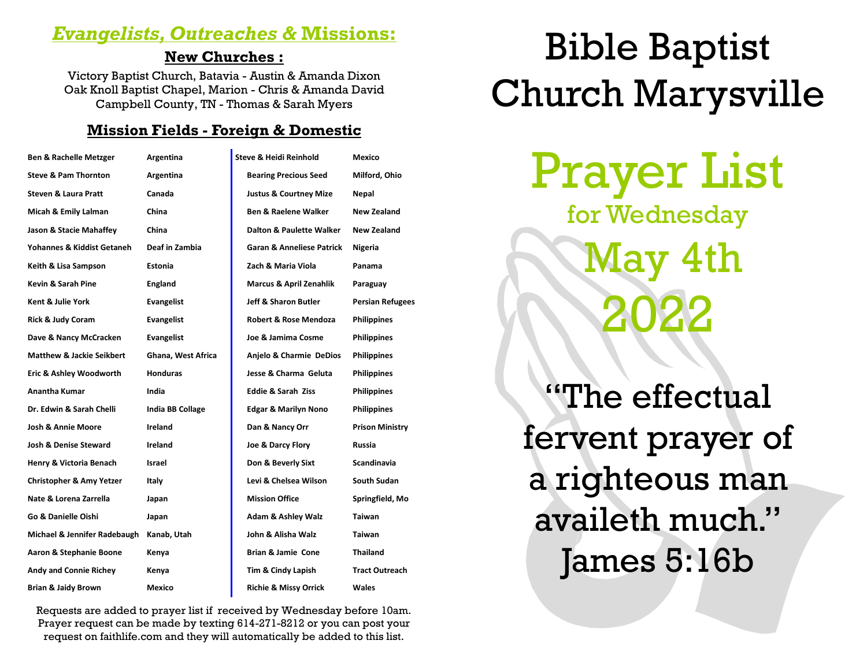# *Evangelists, Outreaches &* **Missions:**

# **New Churches :**

Victory Baptist Church, Batavia - Austin & Amanda Dixon Oak Knoll Baptist Chapel, Marion - Chris & Amanda David Campbell County, TN - Thomas & Sarah Myers

# **Mission Fields - Foreign & Domestic**

| <b>Ben &amp; Rachelle Metzger</b>    | Argentina               | Steve & Heidi Reinhold               | Mexico                  |
|--------------------------------------|-------------------------|--------------------------------------|-------------------------|
| <b>Steve &amp; Pam Thornton</b>      | Argentina               | <b>Bearing Precious Seed</b>         | Milford, Ohio           |
| <b>Steven &amp; Laura Pratt</b>      | Canada                  | <b>Justus &amp; Courtney Mize</b>    | Nepal                   |
| Micah & Emily Lalman                 | China                   | <b>Ben &amp; Raelene Walker</b>      | New Zealand             |
| Jason & Stacie Mahaffey              | China                   | Dalton & Paulette Walker             | New Zealand             |
| Yohannes & Kiddist Getaneh           | Deaf in Zambia          | <b>Garan &amp; Anneliese Patrick</b> | Nigeria                 |
| Keith & Lisa Sampson                 | Estonia                 | Zach & Maria Viola                   | Panama                  |
| Kevin & Sarah Pine                   | <b>England</b>          | <b>Marcus &amp; April Zenahlik</b>   | Paraguay                |
| Kent & Julie York                    | <b>Evangelist</b>       | Jeff & Sharon Butler                 | <b>Persian Refugees</b> |
| Rick & Judy Coram                    | <b>Evangelist</b>       | <b>Robert &amp; Rose Mendoza</b>     | <b>Philippines</b>      |
| Dave & Nancy McCracken               | Evangelist              | Joe & Jamima Cosme                   | <b>Philippines</b>      |
| <b>Matthew &amp; Jackie Seikbert</b> | Ghana, West Africa      | Anjelo & Charmie DeDios              | <b>Philippines</b>      |
| Eric & Ashley Woodworth              | <b>Honduras</b>         | Jesse & Charma Geluta                | <b>Philippines</b>      |
| <b>Anantha Kumar</b>                 | India                   | <b>Eddie &amp; Sarah Ziss</b>        | <b>Philippines</b>      |
| Dr. Edwin & Sarah Chelli             | <b>India BB Collage</b> | <b>Edgar &amp; Marilyn Nono</b>      | <b>Philippines</b>      |
| <b>Josh &amp; Annie Moore</b>        | Ireland                 | Dan & Nancy Orr                      | <b>Prison Ministry</b>  |
| <b>Josh &amp; Denise Steward</b>     | Ireland                 | Joe & Darcy Flory                    | Russia                  |
| Henry & Victoria Benach              | Israel                  | Don & Beverly Sixt                   | Scandinavia             |
| <b>Christopher &amp; Amy Yetzer</b>  | Italy                   | Levi & Chelsea Wilson                | South Sudan             |
| Nate & Lorena Zarrella               | Japan                   | <b>Mission Office</b>                | Springfield, Mo         |
| Go & Danielle Oishi                  | Japan                   | <b>Adam &amp; Ashley Walz</b>        | Taiwan                  |
| Michael & Jennifer Radebaugh         | Kanab, Utah             | John & Alisha Walz                   | <b>Taiwan</b>           |
| Aaron & Stephanie Boone              | Kenya                   | Brian & Jamie Cone                   | <b>Thailand</b>         |
| <b>Andy and Connie Richey</b>        | Kenya                   | Tim & Cindy Lapish                   | <b>Tract Outreach</b>   |
| <b>Brian &amp; Jaidy Brown</b>       | Mexico                  | <b>Richie &amp; Missy Orrick</b>     | Wales                   |

Requests are added to prayer list if received by Wednesday before 10am. Prayer request can be made by texting 614-271-8212 or you can post your request on faithlife.com and they will automatically be added to this list.

# Bible Baptist Church Marysville

Prayer List for Wednesday May 4th 2022

"The effectual fervent prayer of a righteous man availeth much." James 5:16b